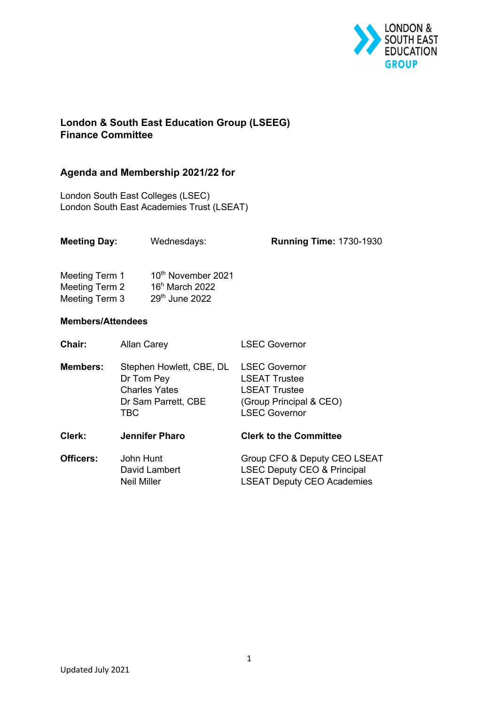

## **London & South East Education Group (LSEEG) Finance Committee**

## **Agenda and Membership 2021/22 for**

London South East Colleges (LSEC) London South East Academies Trust (LSEAT)

| Meeting Day:                                       |                                                                                              | Wednesdays:                                                            | <b>Running Time: 1730-1930</b>                                                                                          |
|----------------------------------------------------|----------------------------------------------------------------------------------------------|------------------------------------------------------------------------|-------------------------------------------------------------------------------------------------------------------------|
| Meeting Term 1<br>Meeting Term 2<br>Meeting Term 3 |                                                                                              | 10 <sup>th</sup> November 2021<br>$16h$ March 2022<br>$29th$ June 2022 |                                                                                                                         |
| <b>Members/Attendees</b>                           |                                                                                              |                                                                        |                                                                                                                         |
| Chair:                                             | <b>Allan Carey</b>                                                                           |                                                                        | <b>LSEC Governor</b>                                                                                                    |
| <b>Members:</b>                                    | Stephen Howlett, CBE, DL<br>Dr Tom Pey<br><b>Charles Yates</b><br>Dr Sam Parrett, CBE<br>TBC |                                                                        | <b>LSEC Governor</b><br><b>LSEAT Trustee</b><br><b>LSEAT Trustee</b><br>(Group Principal & CEO)<br><b>LSEC Governor</b> |
| Clerk:                                             |                                                                                              | <b>Jennifer Pharo</b>                                                  | <b>Clerk to the Committee</b>                                                                                           |
| <b>Officers:</b>                                   | John Hunt<br><b>Neil Miller</b>                                                              | David Lambert                                                          | Group CFO & Deputy CEO LSEAT<br><b>LSEC Deputy CEO &amp; Principal</b><br><b>LSEAT Deputy CEO Academies</b>             |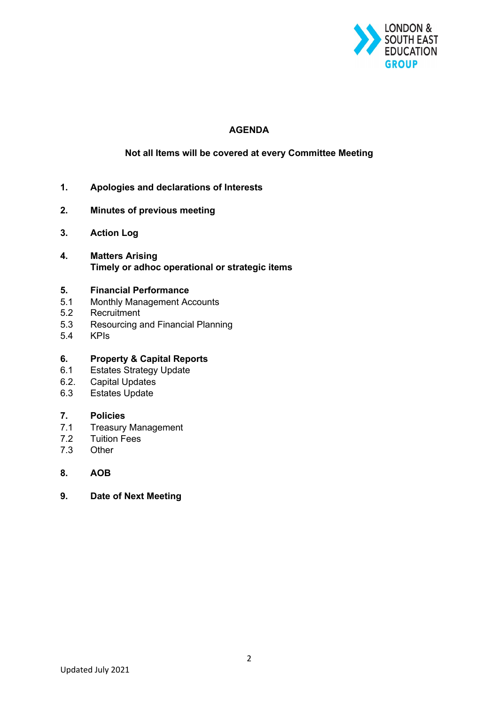

### **AGENDA**

#### **Not all Items will be covered at every Committee Meeting**

- **1. Apologies and declarations of Interests**
- **2. Minutes of previous meeting**
- **3. Action Log**
- **4. Matters Arising Timely or adhoc operational or strategic items**

#### **5. Financial Performance**

- 5.1 Monthly Management Accounts
- 5.2 Recruitment
- 5.3 Resourcing and Financial Planning
- 5.4 KPIs

#### **6. Property & Capital Reports**

- 6.1 Estates Strategy Update
- 6.2. Capital Updates
- 6.3 Estates Update

#### **7. Policies**

- 7.1 Treasury Management
- 7.2 Tuition Fees
- 7.3 Other
- **8. AOB**
- **9. Date of Next Meeting**